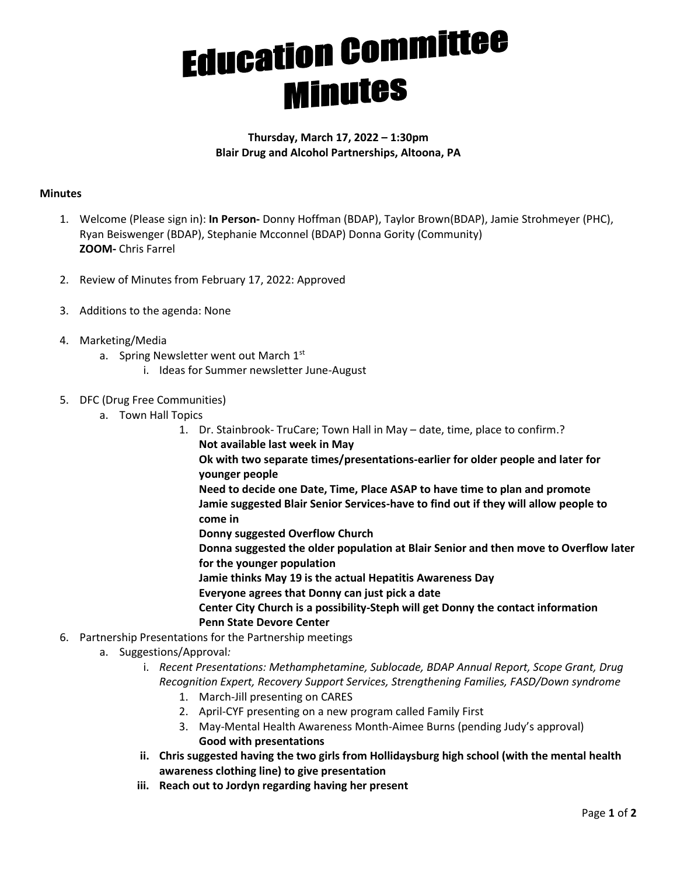## **Education Committee Minutes**

## **Thursday, March 17, 2022 – 1:30pm Blair Drug and Alcohol Partnerships, Altoona, PA**

## **Minutes**

- 1. Welcome (Please sign in): **In Person-** Donny Hoffman (BDAP), Taylor Brown(BDAP), Jamie Strohmeyer (PHC), Ryan Beiswenger (BDAP), Stephanie Mcconnel (BDAP) Donna Gority (Community) **ZOOM-** Chris Farrel
- 2. Review of Minutes from February 17, 2022: Approved
- 3. Additions to the agenda: None
- 4. Marketing/Media
	- a. Spring Newsletter went out March 1st
		- i. Ideas for Summer newsletter June-August
- 5. DFC (Drug Free Communities)
	- a. Town Hall Topics
		- 1. Dr. Stainbrook- TruCare; Town Hall in May date, time, place to confirm.? **Not available last week in May**

**Ok with two separate times/presentations-earlier for older people and later for younger people**

**Need to decide one Date, Time, Place ASAP to have time to plan and promote Jamie suggested Blair Senior Services-have to find out if they will allow people to come in**

**Donny suggested Overflow Church**

**Donna suggested the older population at Blair Senior and then move to Overflow later for the younger population**

**Jamie thinks May 19 is the actual Hepatitis Awareness Day**

- **Everyone agrees that Donny can just pick a date**
- **Center City Church is a possibility-Steph will get Donny the contact information Penn State Devore Center**
- 6. Partnership Presentations for the Partnership meetings
	- a. Suggestions/Approval*:*
		- i. *Recent Presentations: Methamphetamine, Sublocade, BDAP Annual Report, Scope Grant, Drug Recognition Expert, Recovery Support Services, Strengthening Families, FASD/Down syndrome*
			- 1. March-Jill presenting on CARES
			- 2. April-CYF presenting on a new program called Family First
			- 3. May-Mental Health Awareness Month-Aimee Burns (pending Judy's approval) **Good with presentations**
		- **ii. Chris suggested having the two girls from Hollidaysburg high school (with the mental health awareness clothing line) to give presentation**
		- **iii. Reach out to Jordyn regarding having her present**